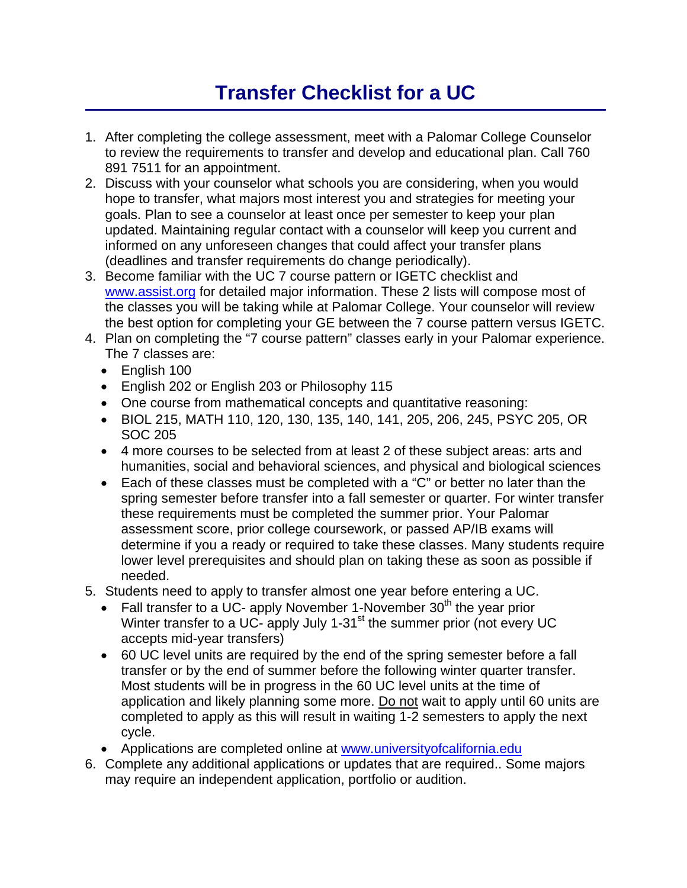## **Transfer Checklist for a UC**

- 1. After completing the college assessment, meet with a Palomar College Counselor to review the requirements to transfer and develop and educational plan. Call 760 891 7511 for an appointment.
- 2. Discuss with your counselor what schools you are considering, when you would hope to transfer, what majors most interest you and strategies for meeting your goals. Plan to see a counselor at least once per semester to keep your plan updated. Maintaining regular contact with a counselor will keep you current and informed on any unforeseen changes that could affect your transfer plans (deadlines and transfer requirements do change periodically).
- 3. Become familiar with the UC 7 course pattern or IGETC checklist and www.assist.org for detailed major information. These 2 lists will compose most of the classes you will be taking while at Palomar College. Your counselor will review the best option for completing your GE between the 7 course pattern versus IGETC.
- 4. Plan on completing the "7 course pattern" classes early in your Palomar experience. The 7 classes are:
	- English 100
	- English 202 or English 203 or Philosophy 115
	- One course from mathematical concepts and quantitative reasoning:
	- BIOL 215, MATH 110, 120, 130, 135, 140, 141, 205, 206, 245, PSYC 205, OR SOC 205
	- 4 more courses to be selected from at least 2 of these subject areas: arts and humanities, social and behavioral sciences, and physical and biological sciences
	- Each of these classes must be completed with a "C" or better no later than the spring semester before transfer into a fall semester or quarter. For winter transfer these requirements must be completed the summer prior. Your Palomar assessment score, prior college coursework, or passed AP/IB exams will determine if you a ready or required to take these classes. Many students require lower level prerequisites and should plan on taking these as soon as possible if needed.
- 5. Students need to apply to transfer almost one year before entering a UC.
	- Fall transfer to a UC- apply November 1-November  $30<sup>th</sup>$  the year prior Winter transfer to a UC- apply July 1-31<sup>st</sup> the summer prior (not every UC accepts mid-year transfers)
	- 60 UC level units are required by the end of the spring semester before a fall transfer or by the end of summer before the following winter quarter transfer. Most students will be in progress in the 60 UC level units at the time of application and likely planning some more. Do not wait to apply until 60 units are completed to apply as this will result in waiting 1-2 semesters to apply the next cycle.
	- Applications are completed online at www.universityofcalifornia.edu
- 6. Complete any additional applications or updates that are required.. Some majors may require an independent application, portfolio or audition.